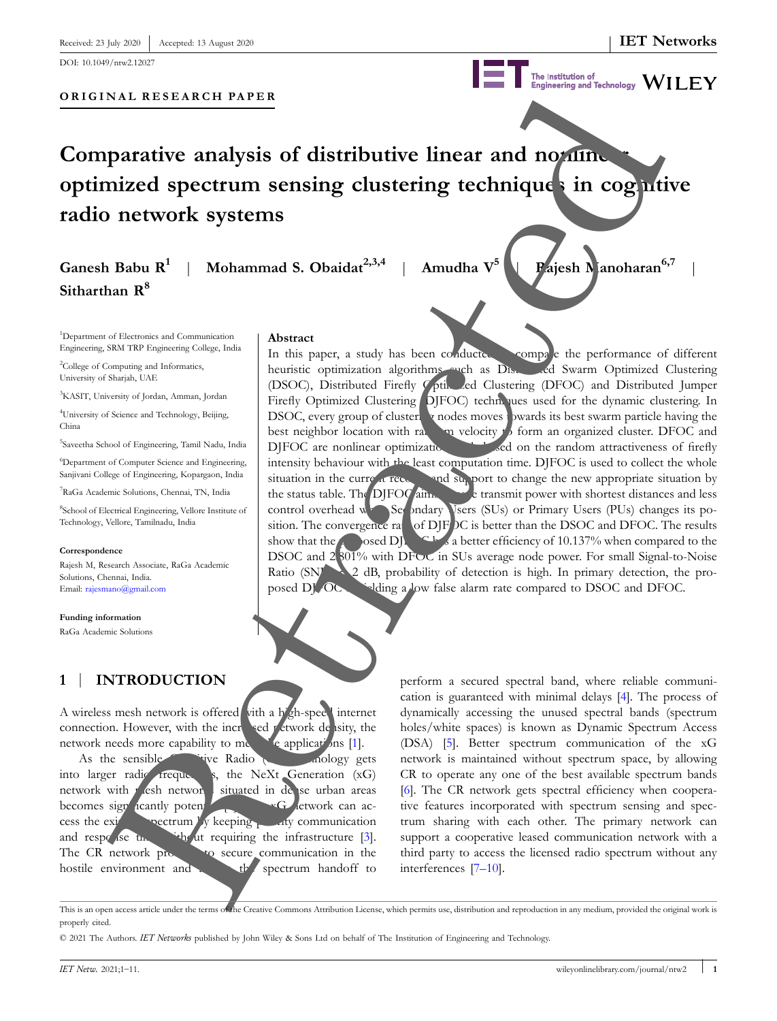**ORIGINAL RESEARCH PAPER**

The Institution of<br>Engineering and Technology WILEY

# **Comparative analysis of distributive linear and nonling optimized spectrum sensing clustering techniques in cognitive radio network systems**

# **Ganesh Babu R<sup>1</sup> Sitharthan R<sup>8</sup>**

| **Mohammad S. Obaidat2,3,4** | **Amudha V<sup>5</sup>**

**Abstract**

| **Rajesh Manoharan6,7** |

<sup>1</sup>Department of Electronics and Communication Engineering, SRM TRP Engineering College, India

<sup>2</sup>College of Computing and Informatics, University of Sharjah, UAE

<sup>3</sup>KASIT, University of Jordan, Amman, Jordan

<sup>4</sup>University of Science and Technology, Beijing, China

5 Saveetha School of Engineering, Tamil Nadu, India

<sup>6</sup>Department of Computer Science and Engineering, Sanjivani College of Engineering, Kopargaon, India

<sup>7</sup>RaGa Academic Solutions, Chennai, TN, India

8 School of Electrical Engineering, Vellore Institute of Technology, Vellore, Tamilnadu, India

#### **Correspondence**

Rajesh M, Research Associate, RaGa Academic Solutions, Chennai, India. Email: rajesmano@gmail.com

#### **Funding information**

RaGa Academic Solutions

# **1** | **INTRODUCTION**

A wireless mesh network is offered vith a high-speed internet connection. However, with the increased retwork density, the network needs more capability to  $m_{\epsilon}$  de applications [1]. As the sensible Covince Radio (CR) and a cology gets into larger radio frequencies, the NeXt Generation  $(xG)$ network with mesh networks situated in dense urban areas becomes sign  $i$ cantly potential  $\mathbb{R}$   $\mathbb{R}$  etwork can access the  $exi$  oectrum by keeping priority communication and  $respc$  ise the without requiring the infrastructure [3].

The CR network protocontrol to secure communication in the hostile environment and the spectrum handoff to

In this paper, a study has been conducted compare the performance of different heuristic optimization algorithms such as Distributed Swarm Optimized Clustering (DSOC), Distributed Firefly Optimized Clustering (DFOC) and Distributed Jumper Firefly Optimized Clustering DJFOC) techniques used for the dynamic clustering. In DSOC, every group of clustering nodes moves towards its best swarm particle having the best neighbor location with random velocity to form an organized cluster. DFOC and DJFOC are nonlinear optimization to based on the random attractiveness of firefly intensity behaviour with the least computation time. DJFOC is used to collect the whole situation in the current records and support to change the new appropriate situation by the status table. The DJFOC  $\lim_{n \to \infty}$  transmit power with shortest distances and less control overhead when Secondary Users (SUs) or Primary Users (PUs) changes its position. The convergence rate of DJF<sub>DC</sub> is better than the DSOC and DFOC. The results show that the proceed DJFOC has a better efficiency of 10.137% when compared to the DSOC and 2.801% with DFOC in SUs average node power. For small Signal-to-Noise Ratio (SNR)  $\geq$  2 dB, probability of detection is high. In primary detection, the proposed DJ<sub>F</sub>OC is iding a low false alarm rate compared to DSOC and DFOC. EXAL RESEARCH PAPER<br>
FRAME PRODUCTION<br>
THE CHANNEL CONTROLLER CONTROLLER CONTROLLER CONTROLLER CONTROLLER CONTROLLER CONTROLLER CONTROLLER CONTROLLER CONTROLLER CONTROLLER CONTROLLER CONTROLLER CONTROLLER CONTROLLER CONTR

perform a secured spectral band, where reliable communication is guaranteed with minimal delays [4]. The process of dynamically accessing the unused spectral bands (spectrum holes/white spaces) is known as Dynamic Spectrum Access (DSA) [5]. Better spectrum communication of the xG network is maintained without spectrum space, by allowing CR to operate any one of the best available spectrum bands [6]. The CR network gets spectral efficiency when cooperative features incorporated with spectrum sensing and spectrum sharing with each other. The primary network can support a cooperative leased communication network with a interferences [7–10].

This is an open access article under the terms of the Creative Commons Attribution License, which permits use, distribution and reproduction in any medium, provided the original work is properly cited.

© 2021 The Authors. *IET Networks* published by John Wiley & Sons Ltd on behalf of The Institution of Engineering and Technology.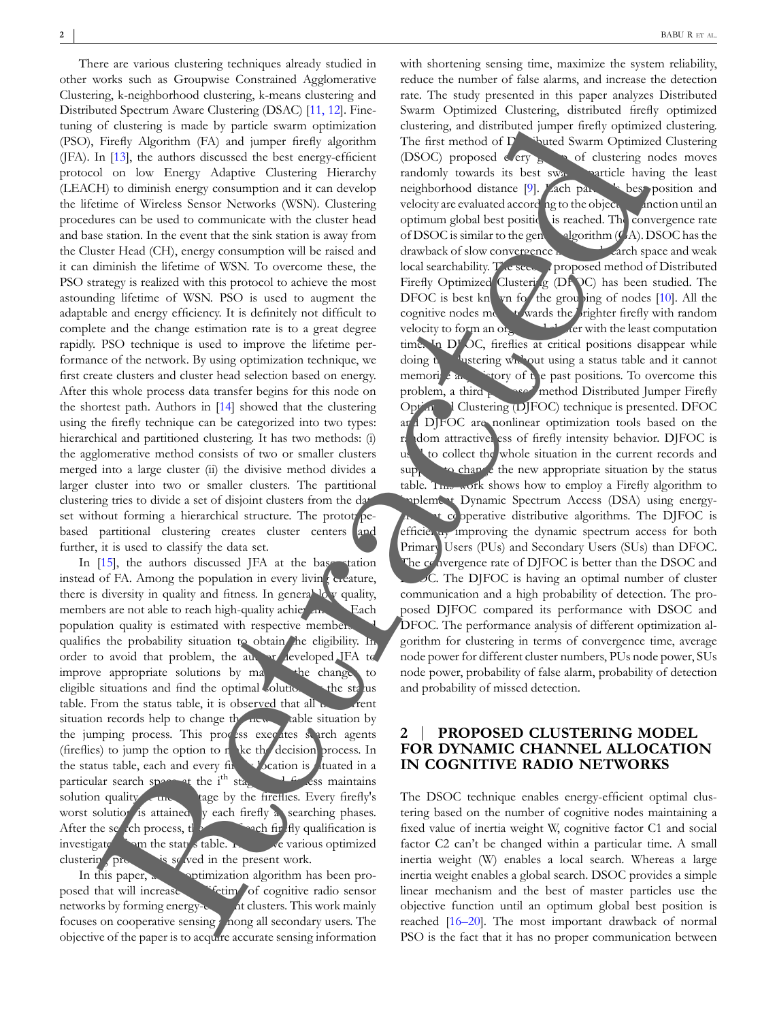There are various clustering techniques already studied in other works such as Groupwise Constrained Agglomerative Clustering, k-neighborhood clustering, k-means clustering and Distributed Spectrum Aware Clustering (DSAC) [11, 12]. Finetuning of clustering is made by particle swarm optimization (PSO), Firefly Algorithm (FA) and jumper firefly algorithm (JFA). In [13], the authors discussed the best energy-efficient protocol on low Energy Adaptive Clustering Hierarchy (LEACH) to diminish energy consumption and it can develop the lifetime of Wireless Sensor Networks (WSN). Clustering procedures can be used to communicate with the cluster head and base station. In the event that the sink station is away from the Cluster Head (CH), energy consumption will be raised and it can diminish the lifetime of WSN. To overcome these, the PSO strategy is realized with this protocol to achieve the most astounding lifetime of WSN. PSO is used to augment the adaptable and energy efficiency. It is definitely not difficult to complete and the change estimation rate is to a great degree rapidly. PSO technique is used to improve the lifetime performance of the network. By using optimization technique, we first create clusters and cluster head selection based on energy. After this whole process data transfer begins for this node on the shortest path. Authors in [14] showed that the clustering using the firefly technique can be categorized into two types: hierarchical and partitioned clustering. It has two methods: (i) the agglomerative method consists of two or smaller clusters merged into a large cluster (ii) the divisive method divides a larger cluster into two or smaller clusters. The partitional clustering tries to divide a set of disjoint clusters from the dat set without forming a hierarchical structure. The protot pebased partitional clustering creates cluster centers and further, it is used to classify the data set.

In [15], the authors discussed JFA at the base station instead of FA. Among the population in every living creature, there is diversity in quality and fitness. In general low quality, members are not able to reach high-quality achievements. Each population quality is estimated with respective members qualifies the probability situation to obtain he eligibility. In order to avoid that problem, the author developed JFA to improve appropriate solutions by making the changes to eligible situations and find the optimal solution by the status table. From the status table, it is observed that all  $\mathbf{r}$  current situation records help to change the new stable situation by the jumping process. This process executes search agents (fireflies) to jump the option to n ke the decision process. In the status table, each and every firefly location is tuated in a particular search space at the i<sup>th</sup> stag location is the situated in a particular search space at the i<sup>th</sup> stage, and fits ess maintains solution quality a the item tage by the fireflies. Every firefly's worst solution is attained  $\bar{y}$  each firefly a searching phases. After the search process, the cost of  $\frac{1}{2}$  and  $\frac{1}{2}$  fly qualification is investigate  $\sum_{n=1}^{\infty}$  am the status table. The above various optimized clustering  $\pi$  is solved in the present work.

In this paper, a new optimization algorithm has been proposed that will increase the lifetime of cognitive radio sensor networks by forming energy-efficient clusters. This work mainly focuses on cooperative sensing anong all secondary users. The objective of the paper is to acquire accurate sensing information

with shortening sensing time, maximize the system reliability, reduce the number of false alarms, and increase the detection rate. The study presented in this paper analyzes Distributed Swarm Optimized Clustering, distributed firefly optimized clustering, and distributed jumper firefly optimized clustering. The first method of  $\Gamma$  ibuted Swarm Optimized Clustering (DSOC) proposed  $\epsilon$  ery group of clustering nodes moves randomly towards its best sware particle having the least neighborhood distance [9]. Lach particles best position and velocity are evaluated according to the objective function until an optimum global best positic is reached. The convergence rate of DSOC is similar to the general gorithm  $(G.A)$ . DSOC has the drawback of slow convergence in the fact and weak local searchability. The second proposed method of Distributed Firefly Optimized Clustering (DFOC) has been studied. The DFOC is best known for the grouping of nodes  $[10]$ . All the cognitive nodes move to wards the brighter firefly with random velocity to form an organization time. In D<sup>r</sup> OC, fireflies at critical positions disappear while doing the clustering without using a status table and it cannot memori $\angle$  any history of the past positions. To overcome this problem, a third proposed method Distributed Jumper Firefly Optim<sup>1</sup> Clustering (DJFOC) technique is presented. DFOC and DJFOC are nonlinear optimization tools based on the random attractiveness of firefly intensity behavior. DJFOC is use to collect the whole situation in the current records and  $\sup$  to change the new appropriate situation by the status table. The work shows how to employ a Firefly algorithm to pplement Dynamic Spectrum Access (DSA) using energyt cooperative distributive algorithms. The DJFOC is efficiently improving the dynamic spectrum access for both Primary Users (PUs) and Secondary Users (SUs) than DFOC. The convergence rate of DJFOC is better than the DSOC and  $\overline{OC}$ . The DJFOC is having an optimal number of cluster communication and a high probability of detection. The proposed DJFOC compared its performance with DSOC and DFOC. The performance analysis of different optimization algorithm for clustering in terms of convergence time, average node power for different cluster numbers, PUs node power, SUs node power, probability of false alarm, probability of detection and probability of missed detection. of deterministics and the most include the most include the most include the most include the most include the most include the most include the most include the most include the most include the most include the most inc

#### **2** | **PROPOSED CLUSTERING MODEL FOR DYNAMIC CHANNEL ALLOCATION IN COGNITIVE RADIO NETWORKS**

The DSOC technique enables energy-efficient optimal clustering based on the number of cognitive nodes maintaining a fixed value of inertia weight W, cognitive factor C1 and social factor C2 can't be changed within a particular time. A small inertia weight (W) enables a local search. Whereas a large inertia weight enables a global search. DSOC provides a simple linear mechanism and the best of master particles use the objective function until an optimum global best position is PSO is the fact that it has no proper communication between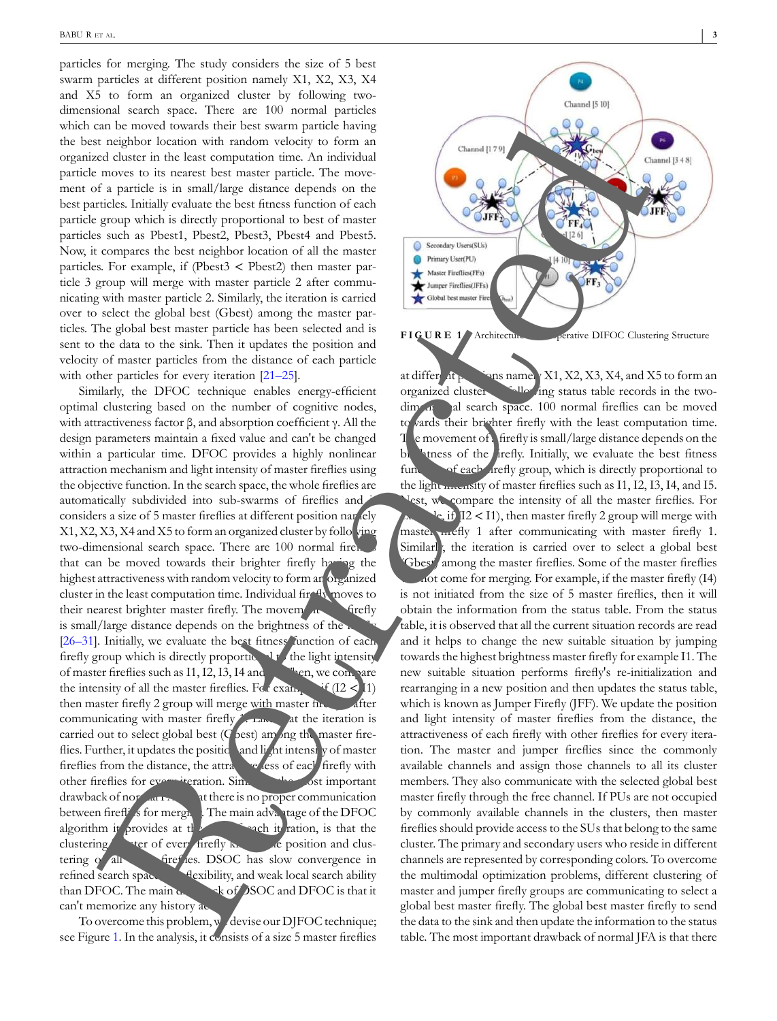particles for merging. The study considers the size of 5 best swarm particles at different position namely X1, X2, X3, X4 and X5 to form an organized cluster by following twodimensional search space. There are 100 normal particles which can be moved towards their best swarm particle having the best neighbor location with random velocity to form an organized cluster in the least computation time. An individual particle moves to its nearest best master particle. The movement of a particle is in small/large distance depends on the best particles. Initially evaluate the best fitness function of each particle group which is directly proportional to best of master particles such as Pbest1, Pbest2, Pbest3, Pbest4 and Pbest5. Now, it compares the best neighbor location of all the master particles. For example, if (Pbest3 < Pbest2) then master particle 3 group will merge with master particle 2 after communicating with master particle 2. Similarly, the iteration is carried over to select the global best (Gbest) among the master particles. The global best master particle has been selected and is sent to the data to the sink. Then it updates the position and velocity of master particles from the distance of each particle with other particles for every iteration [21–25].

Similarly, the DFOC technique enables energy-efficient optimal clustering based on the number of cognitive nodes, with attractiveness factor β, and absorption coefficient γ. All the design parameters maintain a fixed value and can't be changed within a particular time. DFOC provides a highly nonlinear attraction mechanism and light intensity of master fireflies using the objective function. In the search space, the whole fireflies are automatically subdivided into sub-swarms of fireflies and considers a size of 5 master fireflies at different position nariely  $X1, X2, X3, X4$  and  $X5$  to form an organized cluster by following two-dimensional search space. There are 100 normal firements that can be moved towards their brighter firefly having the highest attractiveness with random velocity to form an organized cluster in the least computation time. Individual fire <sup>q</sup>u moves to their nearest brighter master firefly. The movement of firefly is small/large distance depends on the brightness of the [26–31]. Initially, we evaluate the best fitness function of each firefly group which is directly proportic. It the light intensity of master fireflies such as I1, I2, I3, I4 and Islam, we compare the intensity of all the master fireflies. For example,  $\mathbf{F}$  (I2 < I1) then master firefly 2 group will merge with master fine  $\delta$  after communicating with master firefly 1. Like at the iteration is carried out to select global best ( $G$  best) among the master fireflies. Further, it updates the position and light intensity of master fireflies from the distance, the attractive less of each firefly with other fireflies for every iteration. Similarly, the most important drawback of normal FA is there is no proper communication between fireflies for merging. The main advantage of the DFOC algorithm it provides at  $t\mathbf{I}$  each it ration, is that the clustering the cluster of every firefly knows the position and clustering of all **firefles**. DSOC has slow convergence in refined search space, and weak local search ability than DFOC. The main  $\alpha$  or  $\alpha$  of DSOC and DFOC is that it can't memorize any history ac-

To overcome this problem, we devise our DJFOC technique; see Figure 1. In the analysis, it consists of a size 5 master fireflies



at different positions namely X1, X2, X3, X4, and X5 to form an organized cluster by following status table records in the twodimensional search space. 100 normal fireflies can be moved to vards their brighter firefly with the least computation time.  $T_{\rm e}$  e movement of a firefly is small/large distance depends on the brightness of the firefly. Initially, we evaluate the best fitness function of each *firefly group*, which is directly proportional to the light meansity of master fireflies such as I1, I2, I3, I4, and I5. est, we compare the intensity of all the master fireflies. For le, if  $(12 < 11)$ , then master firefly 2 group will merge with master methy 1 after communicating with master firefly 1. Similarl<sub>,</sub> the iteration is carried over to select a global best (Gbest) among the master fireflies. Some of the master fireflies not come for merging. For example, if the master firefly  $(14)$ is not initiated from the size of 5 master fireflies, then it will obtain the information from the status table. From the status table, it is observed that all the current situation records are read and it helps to change the new suitable situation by jumping towards the highest brightness master firefly for example I1. The new suitable situation performs firefly's re-initialization and rearranging in a new position and then updates the status table, which is known as Jumper Firefly (JFF). We update the position and light intensity of master fireflies from the distance, the attractiveness of each firefly with other fireflies for every iteration. The master and jumper fireflies since the commonly available channels and assign those channels to all its cluster members. They also communicate with the selected global best master firefly through the free channel. If PUs are not occupied by commonly available channels in the clusters, then master fireflies should provide access to the SUs that belong to the same cluster. The primary and secondary users who reside in different channels are represented by corresponding colors. To overcome the multimodal optimization problems, different clustering of master and jumper firefly groups are communicating to select a global best master firefly. The global best master firefly to send the data to the sink and then update the information to the status table. The most important drawback of normal JFA is that there an be noted to be a structure of the structure of the structure of Cooperative DIFOCLUS CLUSTER CLUSTER CLUSTER CLUSTER CLUSTER CLUSTER CLUSTER CLUSTER CLUSTER CLUSTER CLUSTER CLUSTER CLUSTER CLUSTER CLUSTER CLUSTER CLUSTE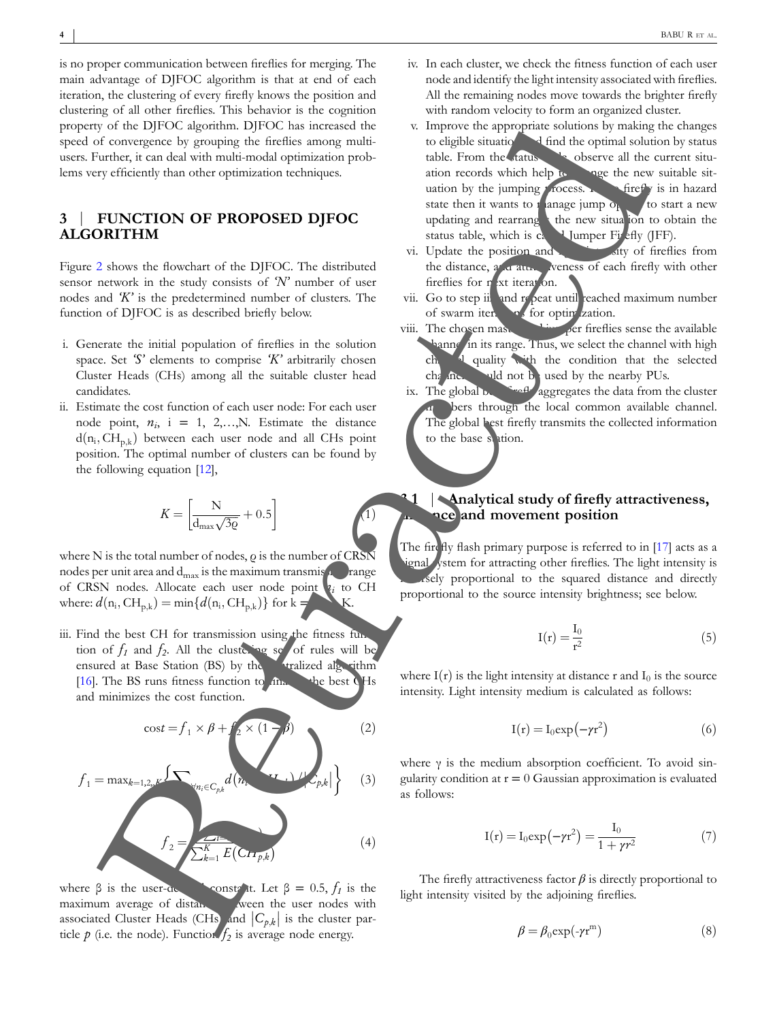is no proper communication between fireflies for merging. The main advantage of DJFOC algorithm is that at end of each iteration, the clustering of every firefly knows the position and clustering of all other fireflies. This behavior is the cognition property of the DJFOC algorithm. DJFOC has increased the speed of convergence by grouping the fireflies among multiusers. Further, it can deal with multi-modal optimization problems very efficiently than other optimization techniques.

## **3** | **FUNCTION OF PROPOSED DJFOC ALGORITHM**

Figure 2 shows the flowchart of the DJFOC. The distributed sensor network in the study consists of *'N'* number of user nodes and *'K'* is the predetermined number of clusters. The function of DJFOC is as described briefly below.

- i. Generate the initial population of fireflies in the solution space. Set *'S'* elements to comprise *'K'* arbitrarily chosen Cluster Heads (CHs) among all the suitable cluster head candidates.
- ii. Estimate the cost function of each user node: For each user node point,  $n_i$ ,  $i = 1, 2,...,N$ . Estimate the distance d(n<sub>i</sub>, CH<sub>p,k</sub>) between each user node and all CHs point position. The optimal number of clusters can be found by the following equation [12],

$$
K = \left[\frac{\text{N}}{\text{d}_{\text{max}}\sqrt{3\varrho}} + 0.5\right]
$$
 (1)

where N is the total number of nodes,  $\rho$  is the number of CRSN nodes per unit area and  $d_{\text{max}}$  is the maximum transmis $\mu$  range of CRSN nodes. Allocate each user node point *n<sup>i</sup>* to CH where:  $d(n_i, \text{CH}_{p,k}) = \min\{d(n_i, \text{CH}_{p,k})\}$  for k = 1.1.1.1.

iii. Find the best CH for transmission using the fitness fun tion of  $f_1$  and  $f_2$ . All the clustering set of rules will be ensured at Base Station (BS) by the centralized algorithm [16]. The BS runs fitness function to  $f_{\text{lin}}$  the best CHs and minimizes the cost function.

cos*t* ¼ *f* <sup>1</sup> � *β* þ *f* <sup>2</sup> � ð Þ ð 1 − *β* 2Þ *f* <sup>1</sup> <sup>¼</sup> max*<sup>k</sup>*¼1*,*2*,,K* <sup>X</sup> 8*ni*2*Cp,k d n<sup>i</sup> , CHp,k* �� *Cp,k* � � � � � � <sup>ð</sup>3<sup>Þ</sup> *f* <sup>2</sup> ¼ P*<sup>N</sup> <sup>i</sup>*¼<sup>1</sup> *<sup>E</sup>*ð*ni*<sup>Þ</sup> P*<sup>K</sup> <sup>k</sup>*¼<sup>1</sup> *<sup>E</sup> CH<sup>p</sup>;<sup>k</sup>* � <sup>ð</sup>4<sup>Þ</sup> m Retracted

where  $\beta$  is the user-defined constant. Let  $\beta = 0.5, f_1$  is the maximum average of distance ween the user nodes with associated Cluster Heads (CHs) and  $|C_{p,k}|$  is the cluster particle  $p$  (i.e. the node). Function  $f_2$  is average node energy.

- iv. In each cluster, we check the fitness function of each user node and identify the light intensity associated with fireflies. All the remaining nodes move towards the brighter firefly with random velocity to form an organized cluster.
- v. Improve the appropriate solutions by making the changes to eligible situation and find the optimal solution by status table. From the status the observe all the current situation records which help to change the new suitable situation by the jumping process.  $\bullet$  firefly is in hazard state then it wants to manage jump  $o_p$  to start a new updating and rearranges the new situation to obtain the status table, which is  $c_4$  Jumper Firefly (JFF).
- vi. Update the position and  $\frac{1}{\sqrt{2}}$  if  $\frac{1}{\sqrt{2}}$  of fireflies from the distance,  $a$  attractiveness of each firefly with other fireflies for n<sub>ext</sub> iteration.
- vii. Go to step ii. and repeat until reached maximum number of swarm iterations for optimization.
- viii. The chosen master and jumper fireflies sense the available **Lannel in its range. Thus, we select the channel with high** channel quality with the condition that the selected  $ch<sub>i</sub>$  and  $ch<sub>i</sub>$  and  $ch<sub>i</sub>$  and  $ch<sub>i</sub>$  and  $ch<sub>i</sub>$  and  $ch<sub>i</sub>$  and  $ch<sub>i</sub>$  and  $ch<sub>i</sub>$  and  $ch<sub>i</sub>$  and  $ch<sub>i</sub>$  and  $ch<sub>i</sub>$  and  $ch<sub>i</sub>$  and  $ch<sub>i</sub>$  and  $ch<sub>i</sub>$  and  $ch<sub>i</sub>$  and  $ch<sub>i</sub>$  a
- ix. The global  $\mathbf{b}$  is first first from the cluster bers through the local common available channel. The global best firefly transmits the collected information to the base station.

## **3.1** | **Analytical study of firefly attractiveness, nce and movement position**

The fire fly flash primary purpose is referred to in  $[17]$  acts as a ignal ystem for attracting other fireflies. The light intensity is isely proportional to the squared distance and directly proportional to the source intensity brightness; see below.

$$
I(r) = \frac{I_0}{r^2} \tag{5}
$$

where  $I(r)$  is the light intensity at distance r and  $I_0$  is the source intensity. Light intensity medium is calculated as follows:

$$
I(r) = I_0 \exp(-\gamma r^2)
$$
 (6)

where  $\gamma$  is the medium absorption coefficient. To avoid singularity condition at  $r = 0$  Gaussian approximation is evaluated as follows:

$$
I(r) = I_0 \exp(-\gamma r^2) = \frac{I_0}{1 + \gamma r^2}
$$
 (7)

The firefly attractiveness factor  $\beta$  is directly proportional to light intensity visited by the adjoining fireflies.

$$
\beta = \beta_0 \exp(-\gamma r^m) \tag{8}
$$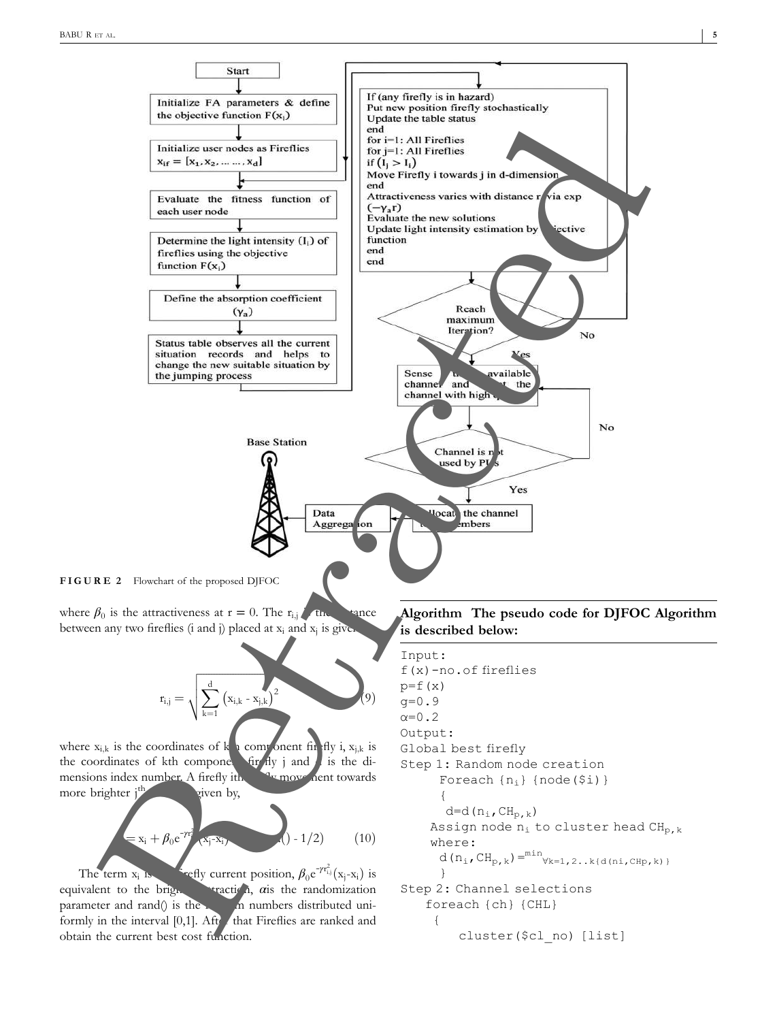

where  $\beta_0$  is the attractiveness at  $r = 0$ . The  $r_{i,j}$  the trance between any two fireflies  $(i \text{ and } j)$  placed at  $x_i$  and  $x_j$  is give.

$$
r_{i,j}=\sqrt{\sum_{k=1}^d\left(x_{i,k}-x_{j,k}\right)^2}\qquad \qquad (9)
$$

where  $x_{i,k}$  is the coordinates of k<sub>th</sub> component firefly i,  $x_{i,k}$  is the coordinates of kth component firefly j and  $\ell$  is the dimensions index number. A firefly ith firefly movement towards more brighter  $j<sup>th</sup>$  given by,

$$
= x_i + \beta_0 e^{-\gamma t_i^2} (x_i - x_i)
$$
 (10)

The term  $x_i$  i is the first current position,  $\beta_0 e^{-\gamma r_{i,j}^2}(\mathbf{x}_j - \mathbf{x}_i)$  is equivalent to the brighter attraction, *α*is the randomization parameter and rand $($ ) is the random numbers distributed uniformly in the interval  $[0,1]$ . After that Fireflies are ranked and obtain the current best cost function.

**Algorithm The pseudo code for DJFOC Algorithm is described below:**

```
Input:
f(x)-no.of fireflies
p=f(x)g=0.9
\alpha=0.2Output:
Global best firefly
Step 1: Random node creation
      Foreach \{n_i\} \{node(\$i)\}\{
       d=d(n_i, CH_{p,k})Assign node n_i to cluster head CH_{p,k}where:
      d(n_i, CH_{p,k}) = min_{\forall k=1,2..k} \{d(ni, CH_p, k)\}}
Step 2: Channel selections
    foreach {ch} {CHL}
     {
         cluster($cl_no) [list]
```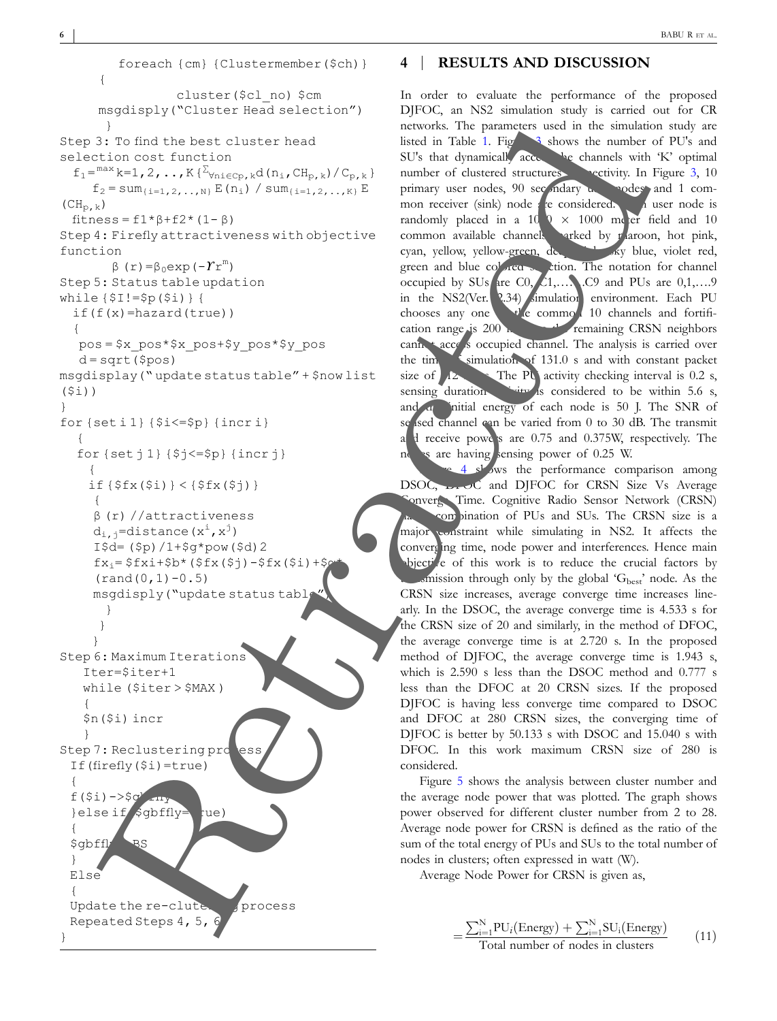```
foreach {cm} {Clustermember($ch)}
       {
                     cluster($cl_no) $cm
       msgdisply("Cluster Head selection")
        }
Step 3: To find the best cluster head
selection cost function
  f_1 = \frac{\max k=1,2,\ldots,K\{\sum_{\forall n i \in CP, k} d(n_i, CH_{p,k})/C_{p,k}\}}f_2 = \text{sum}_{\{i=1,2,\ldots,N\}} E(n_i) / \text{sum}_{\{i=1,2,\ldots,K\}} E(CH_{p,k})fitness = f1* \beta+f2*(1-\beta)Step 4: Firefly attractiveness with objective
function
         β (r)=β0exp(-ϒr
m
)
Step 5: Status table updation
while {$I!=$p($i)} {
  if(f(x)=hazard(true)){
   pos = $x_pos*$x_pos+$y_pos*$y_pos
   d = sqrt(\$pos)msgdisplay(" update status table" + $now list
($i))
}
for {set i 1} {$i<=$p} {incr i}
   {
   for {set j 1} {$j<=$p} {incr j}
     {
     if {{f x (math>5i) } < {{f x (math>5j) } }
      {
      β (r) //attractiveness
      d_{i,j}=distance(x^{i}, x^{j})
      I\4 = (\$p) / 1 + \$q * pow(\$d) 2
      fx_i = $fixi+$b* ($fx ($j) - $fx ($i) + $q(rand(0,1)-0.5)msgdisply("update status table
        }
       }
      }
Step 6: Maximum Iterations
    Iter=$iter+1
    while ($iter > $MAX )
    {
    $n($i) incr
    }
Step 7: Reclustering pro
 If(firefly($i)=true)
  {
 f(S_i) - >$g
  }else if sgbffly=rue)
  {
 $gbffly->BS
  }
 Else
  {
 Update the re-clute process
 Repeated Steps 4, 5,
}
       31 is the text can be considered to the set of \mathcal{L} is the constant of the set of \mathcal{L} is the constant of \mathcal{L} is the constant of \mathcal{L} is the constant of \mathcal{L} is the constant of \mathcal{L} is the constan
```
**6**

#### **4** | **RESULTS AND DISCUSSION**

In order to evaluate the performance of the proposed DJFOC, an NS2 simulation study is carried out for CR networks. The parameters used in the simulation study are listed in Table 1. Figure 3 shows the number of PU's and SU's that dynamically accessible channels with 'K' optimal number of clustered structures connectivity. In Figure 3, 10 primary user nodes, 90 secondary user nodes and 1 common receiver (sink) node  $\ell$  re considered. A user node is randomly placed in a 10  $\alpha \times 1000$  meter field and 10<br>common available channels arked by plaroon, hot pink, arked by maroon, hot pink, cyan, yellow, yellow-green, de green and blue colored section. The notation for channel occupied by SUs are  $C_0$ ,  $C_1$ ,  $C_9$  and PUs are  $0,1,...,9$ in the NS2(Ver. 2.34) simulation environment. Each PU chooses any one  $\mathbf{t}$  the common 10 channels and fortification range is 200 m; here the remaining CRSN neighbors cannot access occupied channel. The analysis is carried over the time  $\sim$  simulation of 131.0 s and with constant packet size of  $\sqrt{2}$ . The PU activity checking interval is 0.2 s, sensing duration  $\frac{1}{2}$  is considered to be within 5.6 s, and the initial energy of each node is 50 J. The SNR of se sed channel can be varied from 0 to 30 dB. The transmit and receive powers are 0.75 and 0.375W, respectively. The nodes are having sensing power of 0.25 W.

4 shows the performance comparison among DSOC,  $DFOC$  and DJFOC for CRSN Size Vs Average onverge Time. Cognitive Radio Sensor Network (CRSN) combination of PUs and SUs. The CRSN size is a major constraint while simulating in NS2. It affects the converging time, node power and interferences. Hence main bjective of this work is to reduce the crucial factors by  $t_{\text{on}}$  only by the global ' $G_{\text{best}}$ ' node. As the CRSN size increases, average converge time increases linearly. In the DSOC, the average converge time is 4.533 s for the CRSN size of 20 and similarly, in the method of DFOC, the average converge time is at 2.720 s. In the proposed method of DJFOC, the average converge time is 1.943 s, which is 2.590 s less than the DSOC method and 0.777 s less than the DFOC at 20 CRSN sizes. If the proposed DJFOC is having less converge time compared to DSOC and DFOC at 280 CRSN sizes, the converging time of DJFOC is better by 50.133 s with DSOC and 15.040 s with DFOC. In this work maximum CRSN size of 280 is considered.

Figure 5 shows the analysis between cluster number and the average node power that was plotted. The graph shows power observed for different cluster number from 2 to 28. Average node power for CRSN is defined as the ratio of the sum of the total energy of PUs and SUs to the total number of nodes in clusters; often expressed in watt (W).

Average Node Power for CRSN is given as,

$$
=\frac{\sum_{i=1}^{N}PU_i(\text{Energy}) + \sum_{i=1}^{N}SU_i(\text{Energy})}{\text{Total number of nodes in clusters}}\tag{11}
$$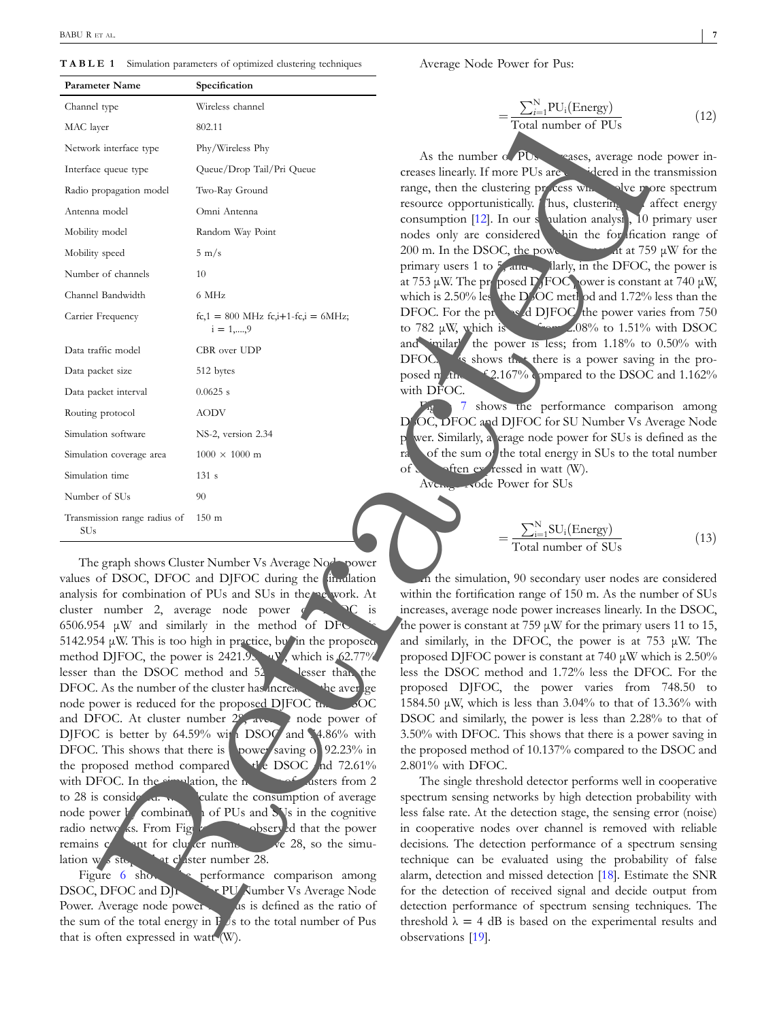**TABLE 1** Simulation parameters of optimized clustering techniques

| Parameter Name                                                                                                                                                    | Specification                                                                                                                   |                                                                                                                                 |
|-------------------------------------------------------------------------------------------------------------------------------------------------------------------|---------------------------------------------------------------------------------------------------------------------------------|---------------------------------------------------------------------------------------------------------------------------------|
| Channel type                                                                                                                                                      | Wireless channel                                                                                                                | $=\frac{\sum_{i=1}^{N}PU_i(\text{Energy})}{\text{Total number of PUs}}$<br>(12)                                                 |
| MAC layer                                                                                                                                                         | 802.11                                                                                                                          |                                                                                                                                 |
| Network interface type                                                                                                                                            | Phy/Wireless Phy                                                                                                                |                                                                                                                                 |
| Interface queue type                                                                                                                                              | Queue/Drop Tail/Pri Queue                                                                                                       | As the number of PU <sub>s</sub> reases, average node power in<br>creases linearly. If more PUs are videred in the transmission |
| Radio propagation model                                                                                                                                           | Two-Ray Ground                                                                                                                  | range, then the clustering process wind when the prore spectrum                                                                 |
| Antenna model                                                                                                                                                     | Omni Antenna                                                                                                                    | resource opportunistically. Thus, clustering<br>affect energ                                                                    |
| Mobility model                                                                                                                                                    | Random Way Point                                                                                                                | consumption [12]. In our s pulation analysi, 10 primary use<br>nodes only are considered whin the for fication range of         |
| Mobility speed                                                                                                                                                    | $5 \text{ m/s}$                                                                                                                 | 200 m. In the DSOC, the power at at 759 µW for the                                                                              |
| Number of channels                                                                                                                                                | 10                                                                                                                              | primary users 1 to 5 and larly, in the DFOC, the power                                                                          |
| Channel Bandwidth                                                                                                                                                 | 6 MHz                                                                                                                           | at 753 µW. The proposed D FOC ower is constant at 740 µV<br>which is 2.50% less the D%OC method and 1.72% less than the         |
| Carrier Frequency                                                                                                                                                 | fc,1 = 800 MHz fc,i+1-fc,i = 6MHz;                                                                                              | DFOC. For the property of DJFOC the power varies from 75                                                                        |
|                                                                                                                                                                   | $i = 1, \dots, 9$                                                                                                               | to 782 $\mu$ W, which is $\frac{2.08}{6}$ to 1.51% with DSO                                                                     |
| Data traffic model                                                                                                                                                | CBR over UDP                                                                                                                    | and imilar the power is less; from 1.18% to 0.50% with                                                                          |
| Data packet size                                                                                                                                                  | 512 bytes                                                                                                                       | DFOC. So shows that there is a power saving in the pro-<br>posed m three 42.167% ompared to the DSOC and 1.1629                 |
| Data packet interval                                                                                                                                              | $0.0625$ s                                                                                                                      | with DFOC.                                                                                                                      |
| Routing protocol                                                                                                                                                  | <b>AODV</b>                                                                                                                     | 7 shows the performance comparison amon                                                                                         |
| Simulation software                                                                                                                                               | NS-2, version 2.34                                                                                                              | D'OC, DFOC and DJFOC for SU Number Vs Average Noc<br>p wer. Similarly, a erage node power for SUs is defined as the             |
| Simulation coverage area                                                                                                                                          | $1000 \times 1000$ m                                                                                                            | ran of the sum of the total energy in SUs to the total number                                                                   |
| Simulation time                                                                                                                                                   | 131 s                                                                                                                           | often ev ressed in watt (W).<br>$of \Sigma$                                                                                     |
| Number of SUs                                                                                                                                                     | 90                                                                                                                              | Average rode Power for SUs                                                                                                      |
| Transmission range radius of 150 m                                                                                                                                |                                                                                                                                 |                                                                                                                                 |
| <b>SU<sub>s</sub></b>                                                                                                                                             |                                                                                                                                 | $=\frac{\sum_{i=1}^{N} SU_i(\text{Energy})}{\text{Total number of SUs}}$<br>(1)                                                 |
|                                                                                                                                                                   |                                                                                                                                 |                                                                                                                                 |
|                                                                                                                                                                   | The graph shows Cluster Number Vs Average No <sup>d-</sup> power<br>values of DSOC, DFOC and DJFOC during the <i>in-diation</i> | In the simulation, 90 secondary user nodes are considered                                                                       |
| analysis for combination of PUs and SUs in the me work. At                                                                                                        |                                                                                                                                 | within the fortification range of 150 m. As the number of SU                                                                    |
| cluster number 2, average node power $\sim$ $\sim$ $\sim$ $\sim$ is                                                                                               |                                                                                                                                 | increases, average node power increases linearly. In the DSO                                                                    |
|                                                                                                                                                                   | $6506.954 \mu W$ and similarly in the method of DFC                                                                             | the power is constant at 759 $\mu$ W for the primary users 11 to 1.                                                             |
| 5142.954 µW. This is too high in practice, by in the proposed,<br>and similarly, in the DFOC, the power is at 753 $\mu$ W. The                                    |                                                                                                                                 |                                                                                                                                 |
|                                                                                                                                                                   | method DJFOC, the power is $2421.9$ , which is 62.77%                                                                           | proposed DJFOC power is constant at 740 µW which is 2.509                                                                       |
|                                                                                                                                                                   | lesser than the DSOC method and 52 lesser than the                                                                              | less the DSOC method and 1.72% less the DFOC. For the                                                                           |
|                                                                                                                                                                   | DFOC. As the number of the cluster has increased the average<br>node power is reduced for the proposed DJFOC the sOC            | proposed DJFOC, the power varies from 748.50 t                                                                                  |
|                                                                                                                                                                   | and DFOC. At cluster number $2^{\circ}$ , aver and power of                                                                     | 1584.50 $\mu$ W, which is less than 3.04% to that of 13.36% with<br>DSOC and similarly, the power is less than 2.28% to that of |
|                                                                                                                                                                   | DJFOC is better by 64.59% with DSOC and 4.86% with                                                                              | 3.50% with DFOC. This shows that there is a power saving i                                                                      |
|                                                                                                                                                                   | DFOC. This shows that there is oower saving of 92.23% in                                                                        | the proposed method of 10.137% compared to the DSOC an                                                                          |
|                                                                                                                                                                   | the proposed method compared the DSOC and 72.61%                                                                                | 2.801% with DFOC.                                                                                                               |
|                                                                                                                                                                   | with DFOC. In the simulation, the handle of disters from 2                                                                      | The single threshold detector performs well in cooperativ                                                                       |
|                                                                                                                                                                   | to 28 is consider a.                                                                                                            | spectrum sensing networks by high detection probability wit                                                                     |
|                                                                                                                                                                   | node power <i>M</i> combinate i of PUs and SVs in the cognitive                                                                 | less false rate. At the detection stage, the sensing error (noise                                                               |
|                                                                                                                                                                   | radio netwo ks. From Fig. 2008 observed that the power                                                                          | in cooperative nodes over channel is removed with reliab                                                                        |
|                                                                                                                                                                   | remains $\frac{1}{2}$ and for cluster number of 28, so the simu-                                                                | decisions. The detection performance of a spectrum sensin                                                                       |
| lation w s ste at cl'aster number 28.                                                                                                                             |                                                                                                                                 | technique can be evaluated using the probability of fals                                                                        |
| Figure 6 shows be performance comparison among<br>alarm, detection and missed detection [18]. Estimate the SN<br>DSOC, DFOC and DJL The PU Jumber Vs Average Node |                                                                                                                                 |                                                                                                                                 |
|                                                                                                                                                                   | for the detection of received signal and decide output from<br>detection performance of spectrum sensing techniques. Th         |                                                                                                                                 |
|                                                                                                                                                                   | Power. Average node power as is defined as the ratio of                                                                         | threshold $\lambda = 4$ dB is based on the experimental results an                                                              |
| the sum of the total energy in $\overrightarrow{P}$ is to the total number of Pus<br>that is often expressed in watt (W).                                         |                                                                                                                                 | observations [19].                                                                                                              |

Average Node Power for Pus:

$$
=\frac{\sum_{i=1}^{N}PU_i(\text{Energy})}{\text{Total number of PUs}}\tag{12}
$$

$$
=\frac{\sum_{i=1}^{N} SU_i(\text{Energy})}{\text{Total number of SUs}}\tag{13}
$$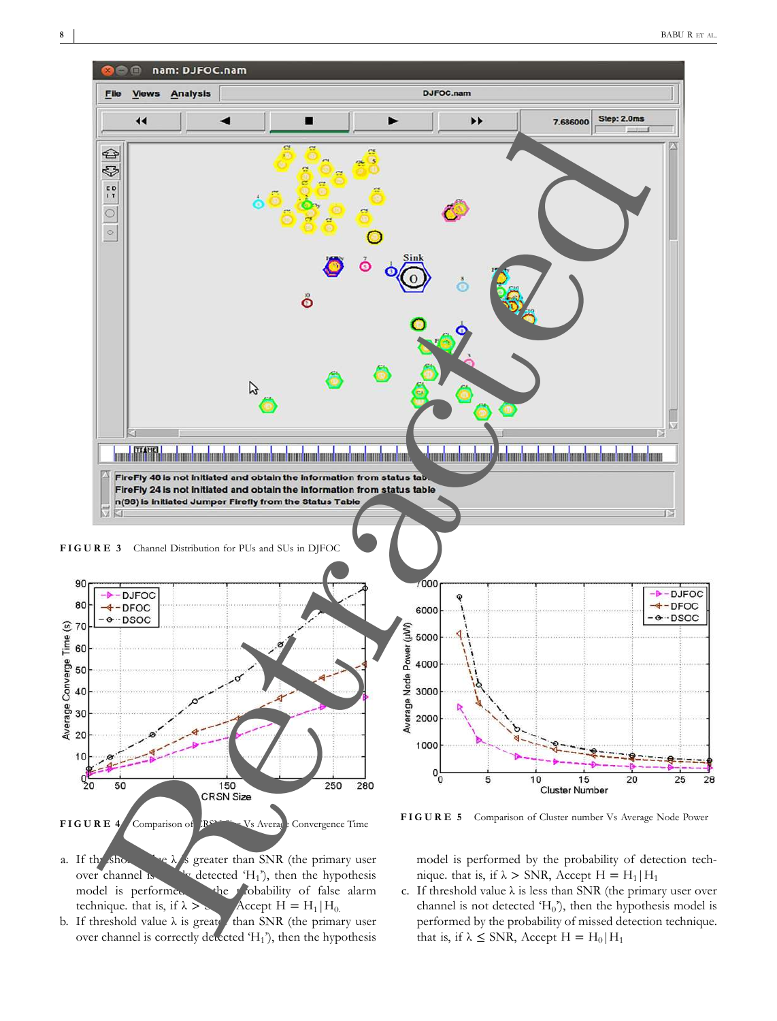

- a. If the shold value  $\lambda$  is greater than SNR (the primary user over channel is detected ' $H_1$ '), then the hypothesis model is performed the probability of false alarm technique. that is, if  $\lambda > \lambda$  Accept H = H<sub>1</sub>|H<sub>0.</sub>
- b. If threshold value  $\lambda$  is greate than SNR (the primary user over channel is correctly detected 'H<sub>1</sub>'), then the hypothesis

model is performed by the probability of detection technique. that is, if  $\lambda$  > SNR, Accept H = H<sub>1</sub>|H<sub>1</sub>

c. If threshold value  $\lambda$  is less than SNR (the primary user over channel is not detected ' $H_0$ '), then the hypothesis model is performed by the probability of missed detection technique. that is, if  $\lambda \leq$  SNR, Accept H = H<sub>0</sub>|H<sub>1</sub>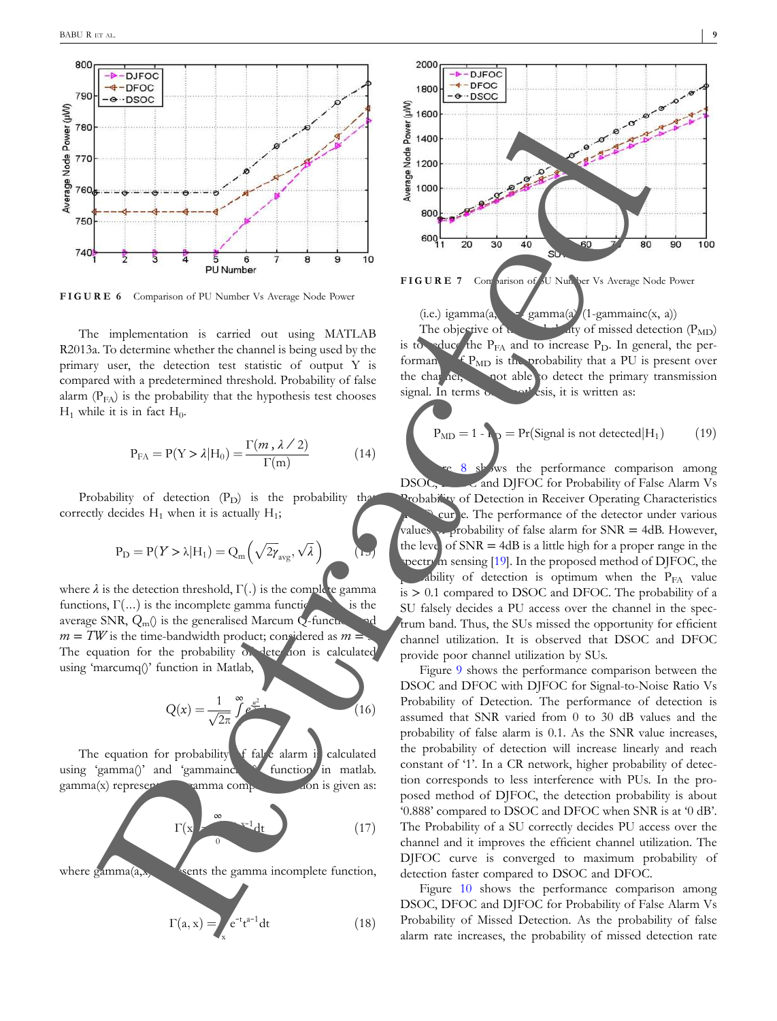

**FIGURE 6** Comparison of PU Number Vs Average Node Power

The implementation is carried out using MATLAB R2013a. To determine whether the channel is being used by the primary user, the detection test statistic of output Y is compared with a predetermined threshold. Probability of false alarm  $(P_{FA})$  is the probability that the hypothesis test chooses  $H_1$  while it is in fact  $H_0$ .

$$
P_{FA} = P(Y > \lambda | H_0) = \frac{\Gamma(m, \lambda / 2)}{\Gamma(m)}
$$
(14)

Probability of detection  $(P_D)$  is the probability that correctly decides  $H_1$  when it is actually  $H_1$ ;

$$
P_D = P(Y > \lambda | H_1) = Q_m\left(\sqrt{2\gamma_{avg}}, \sqrt{\lambda}\right)
$$

where  $\lambda$  is the detection threshold,  $\Gamma(.)$  is the complete gamma functions,  $\Gamma(...)$  is the incomplete gamma functions functions,  $Γ(...)$  is the incomplete gamma functions,  $γ(...)$ average SNR,  $Q_m()$  is the generalised Marcum  $Q$ -function  $m = TW$  is the time-bandwidth product; considered as  $m =$ The equation for the probability of detection is calculated using 'marcumq()' function in Matlab,

$$
Q(x) = \frac{1}{\sqrt{2\pi}} \int_{0}^{\infty} e^{\frac{x^2}{2}}
$$
 (16)

The equation for probability of false alarm is calculated using 'gamma()' and 'gammainches function in matlab.  $gamma(x)$  represent  $gamma$   $gamma$  complete  $f$  and  $f$  and  $f$  and  $f$  and  $f$  and  $f$  and  $f$  and  $f$  and  $f$  and  $f$  and  $f$  and  $f$  and  $f$  and  $f$  and  $f$  and  $f$  and  $f$  and  $f$  and  $f$  and  $f$  and  $f$  and  $f$  and  $f$  and  $f$ 

$$
\Gamma(x) = \sum_{i=0}^{\infty} x^{-i} dt
$$
 (17)

where  $\gamma$   $\alpha$  represents the gamma incomplete function,

$$
\Gamma(a, x) = \int_{x} e^{-t} t^{a-1} dt
$$
 (18)



 $(i.e.)$  igamma $(a)$  gamma $(a)$   $(1-gamma(x, a))$ The objective of  $t_{\text{max}}$  and  $t_{\text{max}}$  of missed detection (P<sub>MD</sub>) is to reduce the  $P_{FA}$  and to increase  $P_{D}$ . In general, the performan $\bigoplus_{\text{MD}}$  is the probability that a PU is present over the channels, but able to detect the primary transmission signal. In terms of hypothesis, it is written as:

$$
P_{MD} = 1 - P_P = Pr(Signal is not detected | H_1)
$$
 (19)

 $\sqrt{ }$ ws the performance comparison among DSOC, and DJFOC for Probability of False Alarm Vs Probability of Detection in Receiver Operating Characteristics cur e. The performance of the detector under various values of probability of false alarm for  $SNR = 4dB$ . However, the level of  $SNR = 4dB$  is a little high for a proper range in the pectrum sensing  $[19]$ . In the proposed method of DJFOC, the ability of detection is optimum when the  $P_{FA}$  value is  $> 0.1$  compared to DSOC and DFOC. The probability of a SU falsely decides a PU access over the channel in the spectrum band. Thus, the SUs missed the opportunity for efficient channel utilization. It is observed that DSOC and DFOC provide poor channel utilization by SUs.

Figure 9 shows the performance comparison between the DSOC and DFOC with DJFOC for Signal-to-Noise Ratio Vs Probability of Detection. The performance of detection is assumed that SNR varied from 0 to 30 dB values and the probability of false alarm is 0.1. As the SNR value increases, the probability of detection will increase linearly and reach constant of '1'. In a CR network, higher probability of detection corresponds to less interference with PUs. In the proposed method of DJFOC, the detection probability is about '0.888' compared to DSOC and DFOC when SNR is at '0 dB'. The Probability of a SU correctly decides PU access over the channel and it improves the efficient channel utilization. The DJFOC curve is converged to maximum probability of detection faster compared to DSOC and DFOC. **FIGURE 7** Comparison of Sunday and the same of the same of the same of the same of the same of the same of the same of the same of the same of the same of the same of the same of the same of the same of the same of the s

Figure 10 shows the performance comparison among DSOC, DFOC and DJFOC for Probability of False Alarm Vs Probability of Missed Detection. As the probability of false alarm rate increases, the probability of missed detection rate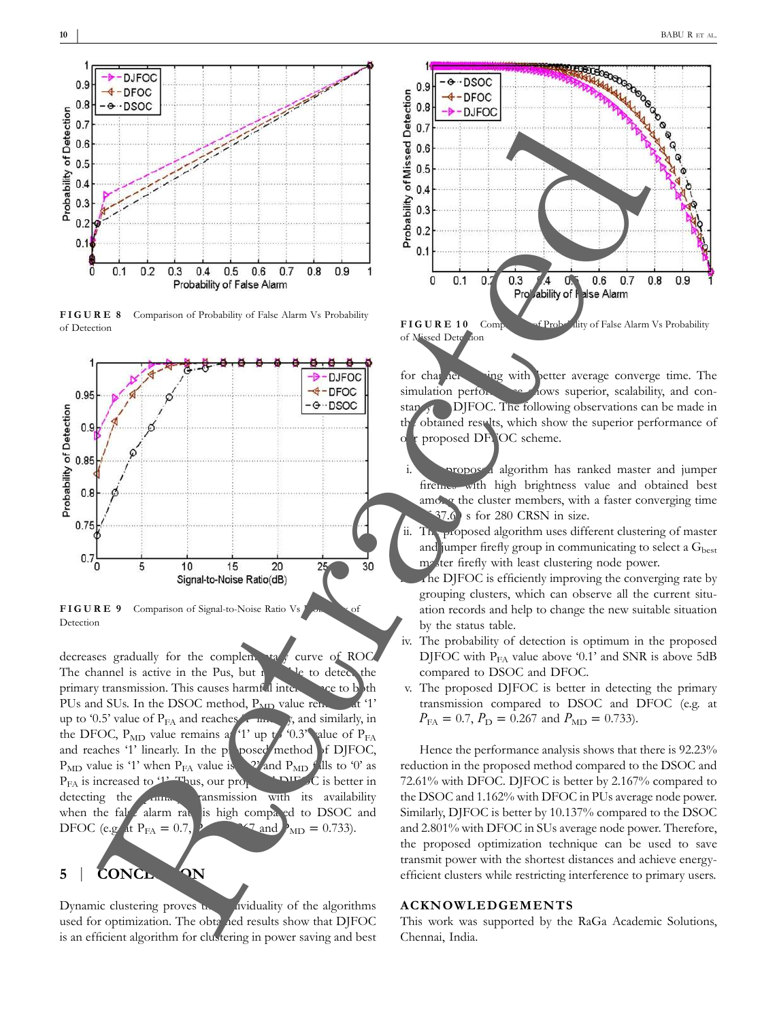

**FIGURE 8** Comparison of Probability of False Alarm Vs Probability of Detection





decreases gradually for the complementary curve of ROC. The channel is active in the Pus, but  $\mathbf{h}$  we to detect the primary transmission. This causes harmful interference to both PUs and SUs. In the DSOC method,  $P_{MD}$  value remains at '1' up to '0.5' value of  $P_{FA}$  and reaches  $\overline{I}$  line  $\overline{I}$ , and similarly, in the DFOC,  $P_{MD}$  value remains at '1' up to '0.3' alue of  $P_{FA}$ and reaches '1' linearly. In the proposed method of DJFOC,  $P_{MD}$  value is '1' when  $P_{FA}$  value is  $\sqrt{2'}$  and  $P_{MD}$  falls to '0' as  $P_{FA}$  is increased to  $P_{T}$  Thus, our proposed DJFC is better in detecting the **primary transmission** with its availability when the false alarm rate is high compared to DSOC and DFOC (e.g. at  $P_{FA} = 0.7$ , PDFOC  $\frac{1}{2}$  and P<sub>MD</sub> = 0.733).

# **5** | **CONCLUSION**

Dynamic clustering proves **the individuality** of the algorithms used for optimization. The obtained results show that DJFOC is an efficient algorithm for clustering in power saving and best



**FIGURE 10** Comparison of Probability of False Alarm Vs Probability

for channel sensing with better average converge time. The simulation performance shows superior, scalability, and constance  $\sigma$  DJFOC. The following observations can be made in the obtained results, which show the superior performance of proposed DFFOC scheme.

- roposed algorithm has ranked master and jumper fireflies with high brightness value and obtained best among the cluster members, with a faster converging time s for 280 CRSN in size.
- $\ln$ <sub>T</sub>roposed algorithm uses different clustering of master and jumper firefly group in communicating to select a  $G<sub>best</sub>$ master firefly with least clustering node power.

 $\Lambda$ he DJFOC is efficiently improving the converging rate by grouping clusters, which can observe all the current situation records and help to change the new suitable situation by the status table.

- iv. The probability of detection is optimum in the proposed DJFOC with  $P<sub>FA</sub>$  value above '0.1' and SNR is above 5dB compared to DSOC and DFOC.
- v. The proposed DJFOC is better in detecting the primary transmission compared to DSOC and DFOC (e.g. at  $P_{FA} = 0.7$ ,  $P_D = 0.267$  and  $P_{MD} = 0.733$ ).

Hence the performance analysis shows that there is 92.23% reduction in the proposed method compared to the DSOC and 72.61% with DFOC. DJFOC is better by 2.167% compared to the DSOC and 1.162% with DFOC in PUs average node power. Similarly, DJFOC is better by 10.137% compared to the DSOC and 2.801% with DFOC in SUs average node power. Therefore, the proposed optimization technique can be used to save transmit power with the shortest distances and achieve energyefficient clusters while restricting interference to primary users.

#### **ACKNOWLEDGEMENTS**

This work was supported by the RaGa Academic Solutions, Chennai, India.